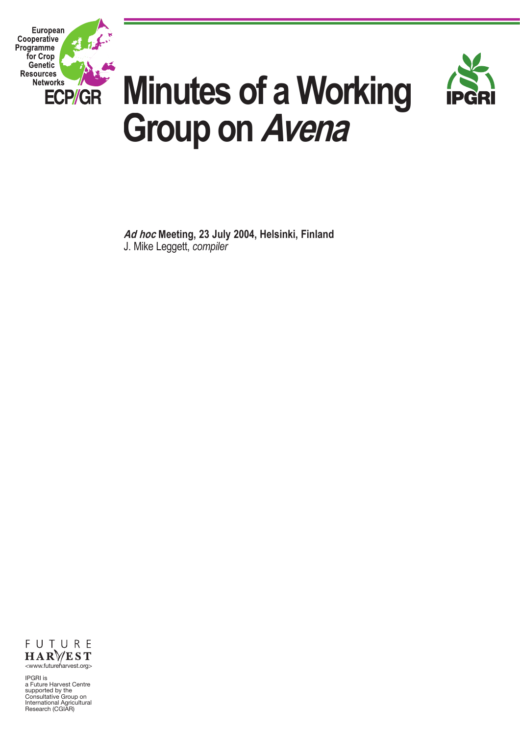



# **Minutes of a Working Group on Avena**

Ad hod Meeting, 23 July 2004, Helsinki, Finland J. Mike Leggett, *compiler*



IPGRI is<br>a Future Harvest Centre a Future Harvest Centre supported by the Consultative Group on International Agricultural Research (CGIAR)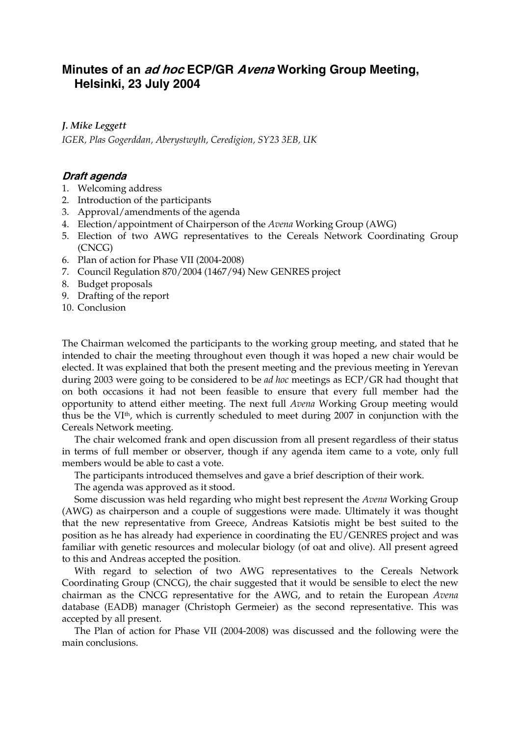## **Minutes of an ad hoc ECP/GR Avena Working Group Meeting, Helsinki, 23 July 2004**

## *J. Mike Leggett*

*IGER, Plas Gogerddan, Aberystwyth, Ceredigion, SY23 3EB, UK* 

## **Draft agenda**

- 1. Welcoming address
- 2. Introduction of the participants
- 3. Approval/amendments of the agenda
- 4. Election/appointment of Chairperson of the *Avena* Working Group (AWG)
- 5. Election of two AWG representatives to the Cereals Network Coordinating Group (CNCG)
- 6. Plan of action for Phase VII (2004-2008)
- 7. Council Regulation 870/2004 (1467/94) New GENRES project
- 8. Budget proposals
- 9. Drafting of the report
- 10. Conclusion

The Chairman welcomed the participants to the working group meeting, and stated that he intended to chair the meeting throughout even though it was hoped a new chair would be elected. It was explained that both the present meeting and the previous meeting in Yerevan during 2003 were going to be considered to be *ad hoc* meetings as ECP/GR had thought that on both occasions it had not been feasible to ensure that every full member had the opportunity to attend either meeting. The next full *Avena* Working Group meeting would thus be the VIth, which is currently scheduled to meet during 2007 in conjunction with the Cereals Network meeting.

 The chair welcomed frank and open discussion from all present regardless of their status in terms of full member or observer, though if any agenda item came to a vote, only full members would be able to cast a vote.

The participants introduced themselves and gave a brief description of their work.

The agenda was approved as it stood.

 Some discussion was held regarding who might best represent the *Avena* Working Group (AWG) as chairperson and a couple of suggestions were made. Ultimately it was thought that the new representative from Greece, Andreas Katsiotis might be best suited to the position as he has already had experience in coordinating the EU/GENRES project and was familiar with genetic resources and molecular biology (of oat and olive). All present agreed to this and Andreas accepted the position.

 With regard to selection of two AWG representatives to the Cereals Network Coordinating Group (CNCG), the chair suggested that it would be sensible to elect the new chairman as the CNCG representative for the AWG, and to retain the European *Avena* database (EADB) manager (Christoph Germeier) as the second representative. This was accepted by all present.

 The Plan of action for Phase VII (2004-2008) was discussed and the following were the main conclusions.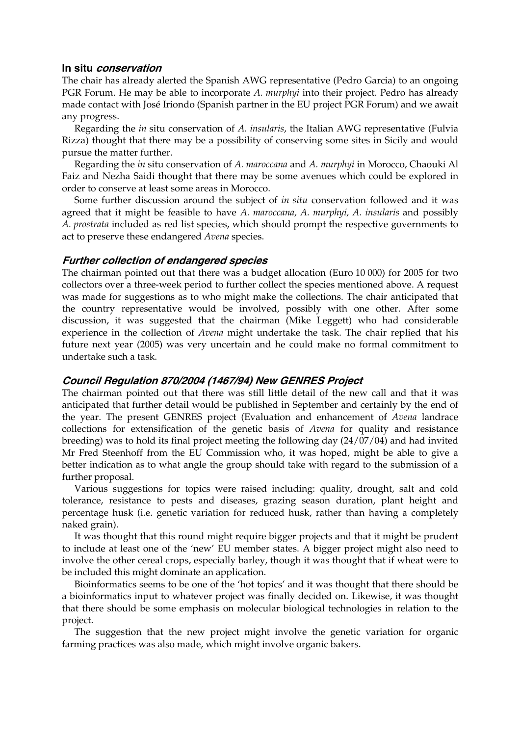#### **In situ conservation**

The chair has already alerted the Spanish AWG representative (Pedro Garcia) to an ongoing PGR Forum. He may be able to incorporate *A. murphyi* into their project. Pedro has already made contact with José Iriondo (Spanish partner in the EU project PGR Forum) and we await any progress.

 Regarding the *in* situ conservation of *A. insularis*, the Italian AWG representative (Fulvia Rizza) thought that there may be a possibility of conserving some sites in Sicily and would pursue the matter further.

 Regarding the *in* situ conservation of *A. maroccana* and *A. murphyi* in Morocco, Chaouki Al Faiz and Nezha Saidi thought that there may be some avenues which could be explored in order to conserve at least some areas in Morocco.

 Some further discussion around the subject of *in situ* conservation followed and it was agreed that it might be feasible to have *A. maroccana, A. murphyi, A. insularis* and possibly *A. prostrata* included as red list species, which should prompt the respective governments to act to preserve these endangered *Avena* species.

### **Further collection of endangered species**

The chairman pointed out that there was a budget allocation (Euro 10 000) for 2005 for two collectors over a three-week period to further collect the species mentioned above. A request was made for suggestions as to who might make the collections. The chair anticipated that the country representative would be involved, possibly with one other. After some discussion, it was suggested that the chairman (Mike Leggett) who had considerable experience in the collection of *Avena* might undertake the task. The chair replied that his future next year (2005) was very uncertain and he could make no formal commitment to undertake such a task.

## **Council Regulation 870/2004 (1467/94) New GENRES Project**

The chairman pointed out that there was still little detail of the new call and that it was anticipated that further detail would be published in September and certainly by the end of the year. The present GENRES project (Evaluation and enhancement of *Avena* landrace collections for extensification of the genetic basis of *Avena* for quality and resistance breeding) was to hold its final project meeting the following day (24/07/04) and had invited Mr Fred Steenhoff from the EU Commission who, it was hoped, might be able to give a better indication as to what angle the group should take with regard to the submission of a further proposal.

 Various suggestions for topics were raised including: quality, drought, salt and cold tolerance, resistance to pests and diseases, grazing season duration, plant height and percentage husk (i.e. genetic variation for reduced husk, rather than having a completely naked grain).

 It was thought that this round might require bigger projects and that it might be prudent to include at least one of the 'new' EU member states. A bigger project might also need to involve the other cereal crops, especially barley, though it was thought that if wheat were to be included this might dominate an application.

 Bioinformatics seems to be one of the 'hot topics' and it was thought that there should be a bioinformatics input to whatever project was finally decided on. Likewise, it was thought that there should be some emphasis on molecular biological technologies in relation to the project.

 The suggestion that the new project might involve the genetic variation for organic farming practices was also made, which might involve organic bakers.